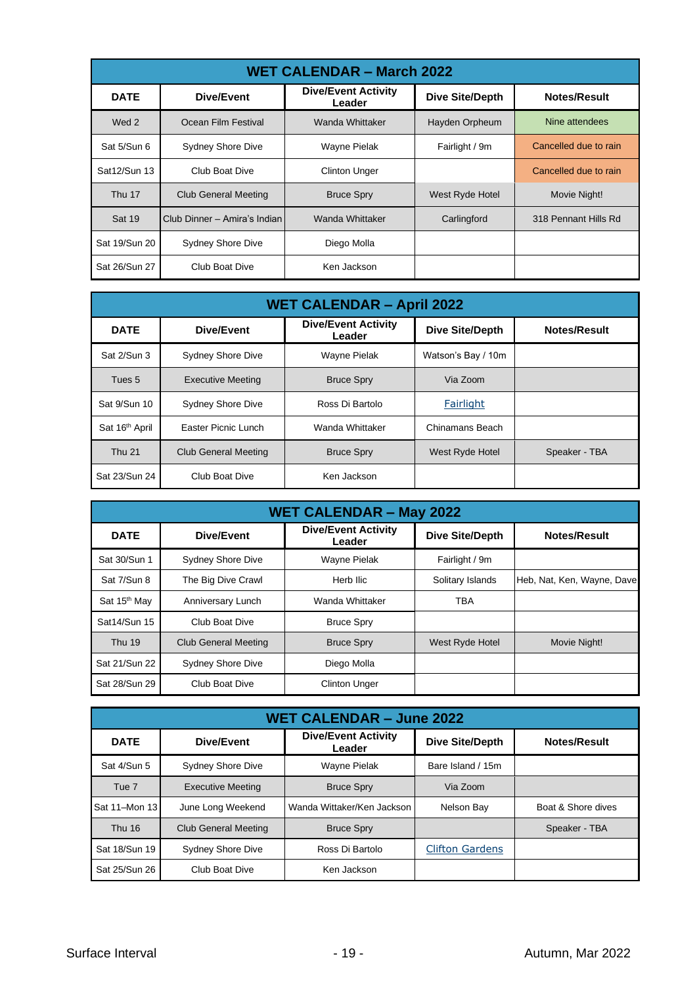| <b>WET CALENDAR - March 2022</b> |                              |                                      |                        |                       |  |  |  |  |
|----------------------------------|------------------------------|--------------------------------------|------------------------|-----------------------|--|--|--|--|
| <b>DATE</b>                      | Dive/Event                   | <b>Dive/Event Activity</b><br>Leader | <b>Dive Site/Depth</b> | Notes/Result          |  |  |  |  |
| Wed 2                            | Ocean Film Festival          | Wanda Whittaker                      | Hayden Orpheum         | Nine attendees        |  |  |  |  |
| Sat 5/Sun 6                      | <b>Sydney Shore Dive</b>     | <b>Wayne Pielak</b>                  | Fairlight / 9m         | Cancelled due to rain |  |  |  |  |
| Sat12/Sun 13                     | Club Boat Dive               | <b>Clinton Unger</b>                 |                        | Cancelled due to rain |  |  |  |  |
| <b>Thu 17</b>                    | Club General Meeting         | <b>Bruce Spry</b>                    | West Ryde Hotel        | Movie Night!          |  |  |  |  |
| Sat 19                           | Club Dinner - Amira's Indian | Wanda Whittaker                      | Carlingford            | 318 Pennant Hills Rd  |  |  |  |  |
| Sat 19/Sun 20                    | <b>Sydney Shore Dive</b>     | Diego Molla                          |                        |                       |  |  |  |  |
| Sat 26/Sun 27                    | Club Boat Dive               | Ken Jackson                          |                        |                       |  |  |  |  |

| <b>WET CALENDAR - April 2022</b> |                             |                                      |                        |                     |  |  |  |  |
|----------------------------------|-----------------------------|--------------------------------------|------------------------|---------------------|--|--|--|--|
| <b>DATE</b>                      | Dive/Event                  | <b>Dive/Event Activity</b><br>Leader | <b>Dive Site/Depth</b> | <b>Notes/Result</b> |  |  |  |  |
| Sat 2/Sun 3                      | Sydney Shore Dive           | Wayne Pielak                         | Watson's Bay / 10m     |                     |  |  |  |  |
| Tues <sub>5</sub>                | <b>Executive Meeting</b>    | <b>Bruce Spry</b>                    | Via Zoom               |                     |  |  |  |  |
| Sat 9/Sun 10                     | <b>Sydney Shore Dive</b>    | Ross Di Bartolo                      | Fairlight              |                     |  |  |  |  |
| Sat 16 <sup>th</sup> April       | Easter Picnic Lunch         | Wanda Whittaker                      | Chinamans Beach        |                     |  |  |  |  |
| <b>Thu 21</b>                    | <b>Club General Meeting</b> | <b>Bruce Spry</b>                    | West Ryde Hotel        | Speaker - TBA       |  |  |  |  |
| Sat 23/Sun 24                    | Club Boat Dive              | Ken Jackson                          |                        |                     |  |  |  |  |

| <b>WET CALENDAR - May 2022</b> |                             |                                      |                        |                            |  |  |  |  |
|--------------------------------|-----------------------------|--------------------------------------|------------------------|----------------------------|--|--|--|--|
| <b>DATE</b>                    | Dive/Event                  | <b>Dive/Event Activity</b><br>Leader | <b>Dive Site/Depth</b> | <b>Notes/Result</b>        |  |  |  |  |
| Sat 30/Sun 1                   | <b>Sydney Shore Dive</b>    | Wayne Pielak                         | Fairlight / 9m         |                            |  |  |  |  |
| Sat 7/Sun 8                    | The Big Dive Crawl          | Herb Ilic                            | Solitary Islands       | Heb, Nat, Ken, Wayne, Dave |  |  |  |  |
| Sat 15 <sup>th</sup> May       | Anniversary Lunch           | Wanda Whittaker                      | TBA                    |                            |  |  |  |  |
| Sat14/Sun 15                   | Club Boat Dive              | <b>Bruce Spry</b>                    |                        |                            |  |  |  |  |
| <b>Thu 19</b>                  | <b>Club General Meeting</b> | <b>Bruce Spry</b>                    | West Ryde Hotel        | Movie Night!               |  |  |  |  |
| Sat 21/Sun 22                  | <b>Sydney Shore Dive</b>    | Diego Molla                          |                        |                            |  |  |  |  |
| Sat 28/Sun 29                  | Club Boat Dive              | <b>Clinton Unger</b>                 |                        |                            |  |  |  |  |

| <b>WET CALENDAR - June 2022</b> |                                               |                                      |                        |                     |  |  |  |  |
|---------------------------------|-----------------------------------------------|--------------------------------------|------------------------|---------------------|--|--|--|--|
| <b>DATE</b>                     | Dive/Event                                    | <b>Dive/Event Activity</b><br>Leader | <b>Dive Site/Depth</b> | <b>Notes/Result</b> |  |  |  |  |
| Sat 4/Sun 5                     | <b>Sydney Shore Dive</b>                      | <b>Wayne Pielak</b>                  | Bare Island / 15m      |                     |  |  |  |  |
| Tue <sub>7</sub>                | <b>Executive Meeting</b><br><b>Bruce Spry</b> |                                      | Via Zoom               |                     |  |  |  |  |
| Sat 11-Mon 13                   | June Long Weekend                             | Wanda Wittaker/Ken Jackson           | Nelson Bay             | Boat & Shore dives  |  |  |  |  |
| <b>Thu 16</b>                   | <b>Club General Meeting</b>                   | <b>Bruce Spry</b>                    |                        | Speaker - TBA       |  |  |  |  |
| Sat 18/Sun 19                   | <b>Sydney Shore Dive</b>                      | Ross Di Bartolo                      | <b>Clifton Gardens</b> |                     |  |  |  |  |
| Sat 25/Sun 26                   | Club Boat Dive                                | Ken Jackson                          |                        |                     |  |  |  |  |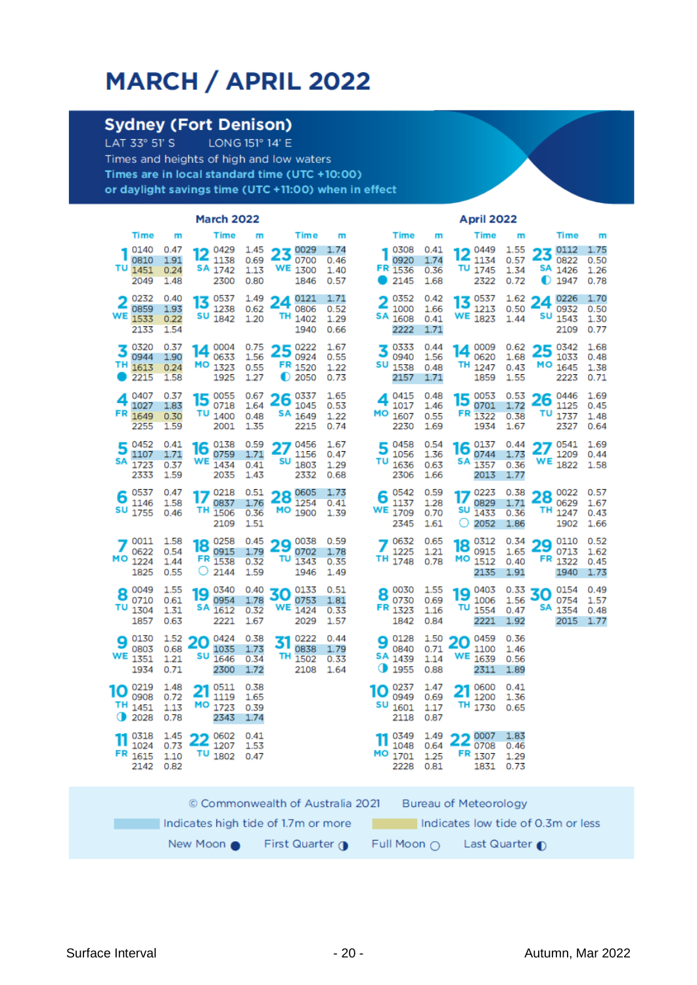## MARCH / APRIL 2022

## **Sydney (Fort Denison)**

LONG 151° 14' E LAT 33° 51' S Times and heights of high and low waters Times are in local standard time (UTC +10:00) or daylight savings time (UTC +11:00) when in effect

| Time<br>Time<br><b>Time</b><br><b>Time</b><br><b>Time</b><br>m<br>m<br>m<br>m<br>m                                                                                                                                                                                                                                                                                                                   |                                               |                              |
|------------------------------------------------------------------------------------------------------------------------------------------------------------------------------------------------------------------------------------------------------------------------------------------------------------------------------------------------------------------------------------------------------|-----------------------------------------------|------------------------------|
|                                                                                                                                                                                                                                                                                                                                                                                                      | <b>Time</b>                                   | m                            |
| 0140<br>0.47<br>0429<br>1.45<br>0029<br>1.74<br>0308<br>0.41<br>0449<br>1.55<br>23<br>12<br>12<br>0920<br>1.74<br>0810<br>1.91<br>1138<br>0.69<br>0700<br>0.46<br>1134<br>0.57<br>τυ<br>SA 1742<br>WE<br>FR<br>τu<br>1451<br>0.24<br>1.13<br>1300<br>1536<br>0.36<br>1745<br>1.34<br>1.40<br>2049<br>2300<br>0.80<br>0.57<br>2145<br>2322<br>0.72<br>1.48<br>1846<br>1.68                            | 0112<br>23<br>0822<br>SA<br>1426<br>◐<br>1947 | 1.75<br>0.50<br>1.26<br>0.78 |
| 0232<br>0537<br>1.49<br>0121<br>1.71<br>0352<br>1.62<br>0.40<br>0.42<br>0537<br>24<br>13<br>13<br>0859<br>1.93<br>1238<br>0.62<br>0806<br>0.52<br>1000<br>1.66<br>1213<br>0.50<br>WE<br>SU<br>WE 1823<br>SА<br>TН<br>1533<br>1842<br>1.20<br>1.29<br>1608<br>0.22<br>1402<br>0.41<br>1.44<br>2133<br>1.54<br>1940<br>0.66<br>2222<br>1.71                                                            | 0226<br>24<br>0932<br>SU<br>1543<br>2109      | 1.70<br>0.50<br>1.30<br>0.77 |
| 0320<br>0.37<br>0222<br>1.67<br>0004<br>0.75<br>0333<br>0.44<br>0009<br>0.62<br>25<br>3<br>14<br>14<br>0944<br>0633<br>1.56<br>0924<br>0.55<br>0940<br>1.56<br>0620<br>1.68<br>1.90<br>ΤН<br>SU<br>MO 1323<br>FR 1520<br>TH 1247<br>1613<br>0.24<br>0.55<br>1538<br>0.43<br>1.22<br>0.48<br>2215<br>1925<br>1.27<br>O<br>2050<br>2157<br>1859<br>1.55<br>1.58<br>0.73<br>1.71                        | 0342<br>25<br>1033<br>MО<br>1645<br>2223      | 1.68<br>0.48<br>1.38<br>0.71 |
| 0407<br>0.37<br>0055<br>0.67<br>0337<br>1.65<br>0415<br>0.48<br>0053<br>0.53<br>15<br>26<br>15<br>4<br>Δ<br>1027<br>0718<br>1.64<br>1045<br>1017<br>0701<br>1.72<br>1.83<br>0.53<br>1.46<br>TU 1400<br>FR 1649<br>SA <sub>1649</sub><br>MO 1607<br>FR 1322<br>0.30<br>0.48<br>0.38<br>1.22<br>0.55<br>2255<br>2001<br>2215<br>0.74<br>2230<br>1934<br>1.67<br>1.59<br>1.35<br>1.69                   | 0446<br>26<br>1125<br>TU 1737<br>2327         | 1.69<br>0.45<br>1.48<br>0.64 |
| 0452<br>0.41<br>0138<br>0.59<br>0456<br>1.67<br>0458<br>0.54<br>0137<br>0.44<br>27<br>5<br>16<br>16<br>ہ<br>0759<br>1056<br>1107<br>1.71<br>1.71<br>1156<br>1.36<br>0744<br>1.73<br>0.47<br>WE<br>SU<br>SΑ<br>τυ<br>SΑ<br>1723<br>1434<br>1803<br>1.29<br>1636<br>0.63<br>1357<br>0.36<br>0.37<br>0.41<br>2035<br>2332<br>2306<br>2333<br>1.59<br>1.43<br>0.68<br>1.66<br>2013<br>1.77               | 0541<br>27<br>1209<br>WE<br>1822              | 1.69<br>0.44<br>1.58         |
| 0537<br>0.47<br>0218<br>0.51<br>0605<br>0542<br>0.59<br>0223<br>0.38<br>1.73<br>۰<br>28<br>17<br>6<br>IJ<br>О<br>0837<br>1254<br>0829<br>1146<br>1.58<br>1.76<br>1137<br>1.28<br>1.71<br>0.41<br>SU<br>SU<br>ΤН<br>МO<br>WE<br>1755<br>1506<br>1709<br>0.46<br>0.36<br>1900<br>0.70<br>1433<br>0.36<br>1.39<br>1.51<br>O<br>2052<br>2109<br>2345<br>1.61<br>1.86                                     | 0022<br>۰<br>28<br>0629<br>TH 1247<br>1902    | 0.57<br>1.67<br>0.43<br>1.66 |
| 0011<br>1.58<br>0258<br>0.45<br>0038<br>0.59<br>0632<br>0.65<br>0312<br>0.34<br>29<br>18<br>18<br>0622<br>0915<br>1.79<br>1.21<br>0915<br>1.65<br>0.54<br>0702<br>1.78<br>1225<br>мо<br>FR 1538<br>МO<br>τυ<br>ΤН<br>1224<br>1748<br>0.78<br>1512<br>1.44<br>0.32<br>1343<br>0.40<br>0.35<br>1825<br>0.55<br>O<br>1.59<br>2135<br>2144<br>1946<br>1.49<br>1.91                                       | 0110<br>29<br>0713<br>FR<br>1322<br>1940      | 0.52<br>1.62<br>0.45<br>1.73 |
| 0049<br>1.55<br>0340<br>0133<br>0.51<br>0030<br>1.55<br>0.33<br>0.40<br>0403<br>30<br>19<br>19<br>8<br>о<br>0710<br>0954<br>1.78<br>0753<br>0730<br>0.69<br>1006<br>1.56<br>0.61<br>1.81<br>τυ<br><b>WE</b> 1424<br>SA 1612<br>τυ<br>FR 1323<br>1304<br>1.31<br>0.32<br>1.16<br>1554<br>0.47<br>0.33<br>1857<br>2221<br>2029<br>1842<br>1.92<br>0.63<br>1.67<br>1.57<br>0.84<br>2221                 | 0154<br>30<br>0754<br>SА<br>1354<br>2015      | 0.49<br>1.57<br>0.48<br>1.77 |
| 0.36<br>0130<br>$\frac{1.52}{0.69}$ 20<br>0424<br>0.38<br>0222<br>0128<br>1.50<br>0.44<br>0459<br>31<br>20<br>9<br>О<br>0803<br>0.68<br>1035<br>1.73<br>0838<br>1.79<br>0840<br>0.71<br>1100<br>1.46<br>WE<br>SU<br>WE<br>TН<br>SA 1439<br>1351<br>1.21<br>1646<br>0.34<br>1502<br>0.33<br>1.14<br>1639<br>0.56<br>Φ<br>0.71<br>1955<br>1934<br>2300<br>1.72<br>2108<br>1.64<br>0.88<br>2311<br>1.89 |                                               |                              |
| 0219<br>0511<br>0.38<br>0600<br>1.48<br>0237<br>1.47<br>0.41<br>21<br>21<br>10<br>10<br>0908<br>1200<br>0.72<br>1119<br>0949<br>0.69<br>1.65<br>1.36<br>SU<br>TH 1451<br>MO 1723<br>TH 1730<br>1601<br>1.17<br>1.13<br>0.39<br>0.65<br>Φ<br>2028<br>0.78<br>1.74<br>2118<br>0.87<br>2343                                                                                                             |                                               |                              |
| 11 0318 1.45 22 0602 0.41<br>11 0349 1.49 22 0007 1.83<br>Ш<br>11 1048 0.64<br>$1024$ 0.73 $\overline{4}$ 1207 1.53<br>$26$ 0708 0.46<br>TU <sub>1802</sub><br>FR 1615<br>MO 1701<br>FR <sub>1307</sub><br>1.10<br>1.25<br>1.29<br>0.47<br>2142<br>0.82<br>2228<br>0.81<br>1831<br>0.73                                                                                                              |                                               |                              |
| © Commonwealth of Australia 2021<br><b>Bureau of Meteorology</b>                                                                                                                                                                                                                                                                                                                                     |                                               |                              |
| Indicates low tide of 0.3m or less<br>Indicates high tide of 1.7m or more                                                                                                                                                                                                                                                                                                                            |                                               |                              |
| First Quarter $\bigcap$<br>New Moon $\bullet$<br>Full Moon $\bigcap$ Last Quarter $\bigcap$                                                                                                                                                                                                                                                                                                          |                                               |                              |